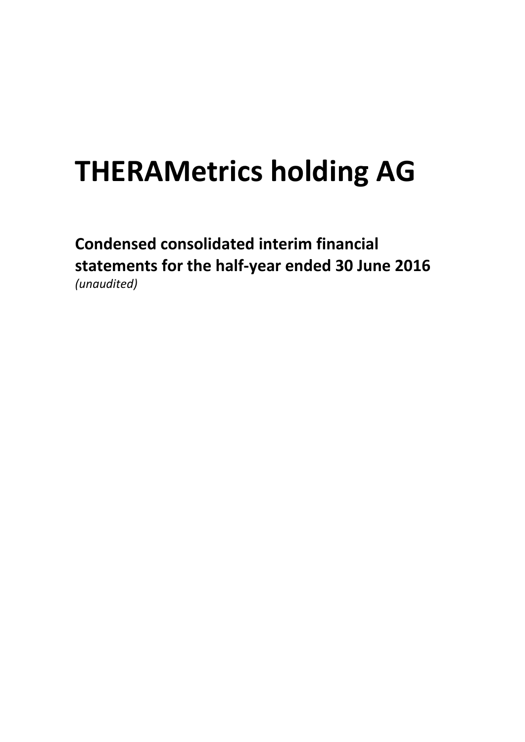**Condensed consolidated interim financial statements for the half-year ended 30 June 2016** *(unaudited)*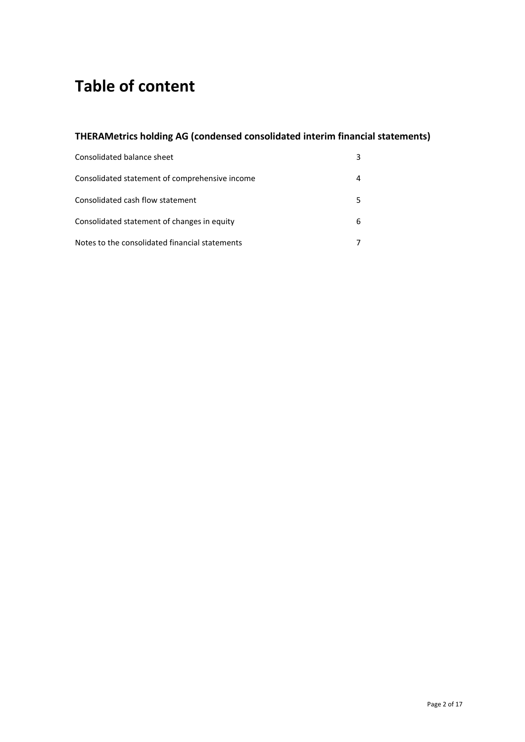# **Table of content**

# **THERAMetrics holding AG (condensed consolidated interim financial statements)**

| Consolidated balance sheet                     |   |
|------------------------------------------------|---|
| Consolidated statement of comprehensive income |   |
| Consolidated cash flow statement               |   |
| Consolidated statement of changes in equity    | 6 |
| Notes to the consolidated financial statements |   |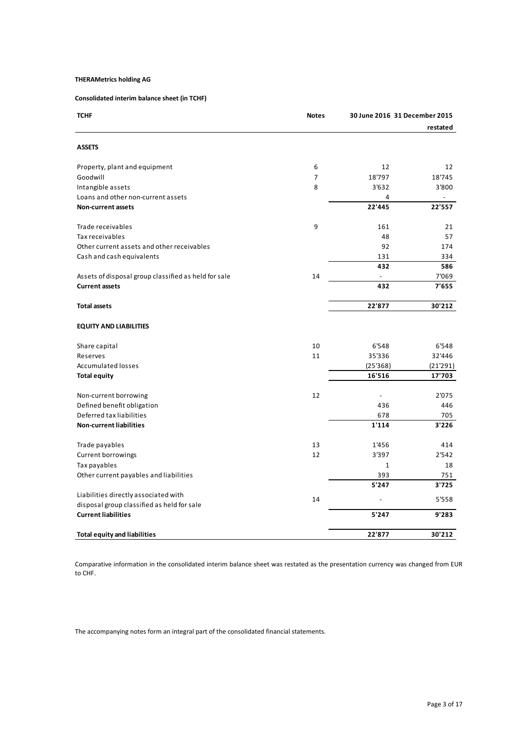# **Consolidated interim balance sheet (in TCHF)**

| <b>TCHF</b>                                          | <b>Notes</b>   | 30 June 2016 31 December 2015 |          |
|------------------------------------------------------|----------------|-------------------------------|----------|
|                                                      |                |                               | restated |
| <b>ASSETS</b>                                        |                |                               |          |
| Property, plant and equipment                        | 6              | 12                            | 12       |
| Goodwill                                             | $\overline{7}$ | 18'797                        | 18'745   |
| Intangible assets                                    | 8              | 3'632                         | 3'800    |
| Loans and other non-current assets                   |                | 4                             |          |
| Non-current assets                                   |                | 22'445                        | 22'557   |
| Trade receivables                                    | 9              | 161                           | 21       |
| Tax receivables                                      |                | 48                            | 57       |
| Other current assets and other receivables           |                | 92                            | 174      |
| Cash and cash equivalents                            |                | 131                           | 334      |
|                                                      |                | 432                           | 586      |
| Assets of disposal group classified as held for sale | 14             |                               | 7'069    |
| <b>Current assets</b>                                |                | 432                           | 7'655    |
| <b>Total assets</b>                                  |                | 22'877                        | 30'212   |
| <b>EQUITY AND LIABILITIES</b>                        |                |                               |          |
| Share capital                                        | 10             | 6'548                         | 6'548    |
| Reserves                                             | 11             | 35'336                        | 32'446   |
| <b>Accumulated losses</b>                            |                | (25'368)                      | (21'291) |
| <b>Total equity</b>                                  |                | 16'516                        | 17'703   |
| Non-current borrowing                                | 12             |                               | 2'075    |
| Defined benefit obligation                           |                | 436                           | 446      |
| Deferred tax liabilities                             |                | 678                           | 705      |
| <b>Non-current liabilities</b>                       |                | 1'114                         | 3'226    |
| Trade payables                                       | 13             | 1'456                         | 414      |
| Current borrowings                                   | 12             | 3'397                         | 2'542    |
| Tax payables                                         |                | $\mathbf{1}$                  | 18       |
| Other current payables and liabilities               |                | 393                           | 751      |
|                                                      |                | 5'247                         | 3'725    |
| Liabilities directly associated with                 | 14             |                               | 5'558    |
| disposal group classified as held for sale           |                |                               |          |
| <b>Current liabilities</b>                           |                | 5'247                         | 9'283    |
| <b>Total equity and liabilities</b>                  |                | 22'877                        | 30'212   |

Comparative information in the consolidated interim balance sheet was restated as the presentation currency was changed from EUR to CHF.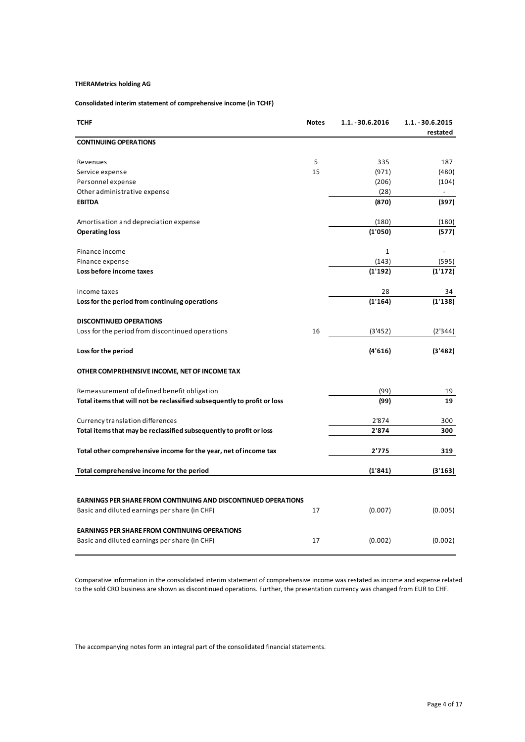# **Consolidated interim statement of comprehensive income (in TCHF)**

| <b>TCHF</b>                                                              | <b>Notes</b> | $1.1. - 30.6.2016$ | 1.1. - 30.6.2015<br>restated |
|--------------------------------------------------------------------------|--------------|--------------------|------------------------------|
| <b>CONTINUING OPERATIONS</b>                                             |              |                    |                              |
| Revenues                                                                 | 5            | 335                | 187                          |
| Service expense                                                          | 15           | (971)              | (480)                        |
| Personnel expense                                                        |              | (206)              | (104)                        |
| Other administrative expense                                             |              | (28)               |                              |
| <b>EBITDA</b>                                                            |              | (870)              | (397)                        |
| Amortisation and depreciation expense                                    |              | (180)              | (180)                        |
| <b>Operating loss</b>                                                    |              | (1'050)            | (577)                        |
| Finance income                                                           |              | 1                  |                              |
| Finance expense                                                          |              | (143)              | (595)                        |
| Loss before income taxes                                                 |              | (1'192)            | (1'172)                      |
| Income taxes                                                             |              | 28                 | 34                           |
| Loss for the period from continuing operations                           |              | (1'164)            | (1'138)                      |
| <b>DISCONTINUED OPERATIONS</b>                                           |              |                    |                              |
| Loss for the period from discontinued operations                         | 16           | (3'452)            | (2'344)                      |
| Loss for the period                                                      |              | (4'616)            | (3'482)                      |
| OTHER COMPREHENSIVE INCOME, NET OF INCOME TAX                            |              |                    |                              |
| Remeasurement of defined benefit obligation                              |              | (99)               | 19                           |
| Total items that will not be reclassified subsequently to profit or loss |              | (99)               | 19                           |
| Currency translation differences                                         |              | 2'874              | 300                          |
| Total items that may be reclassified subsequently to profit or loss      |              | 2'874              | 300                          |
| Total other comprehensive income for the year, net of income tax         |              | 2'775              | 319                          |
| Total comprehensive income for the period                                |              | (1'841)            | (3'163)                      |
|                                                                          |              |                    |                              |
| <b>EARNINGS PER SHARE FROM CONTINUING AND DISCONTINUED OPERATIONS</b>    |              |                    |                              |
| Basic and diluted earnings per share (in CHF)                            | 17           | (0.007)            | (0.005)                      |
| <b>EARNINGS PER SHARE FROM CONTINUING OPERATIONS</b>                     |              |                    |                              |
| Basic and diluted earnings per share (in CHF)                            | 17           | (0.002)            | (0.002)                      |

Comparative information in the consolidated interim statement of comprehensive income was restated as income and expense related to the sold CRO business are shown as discontinued operations. Further, the presentation currency was changed from EUR to CHF.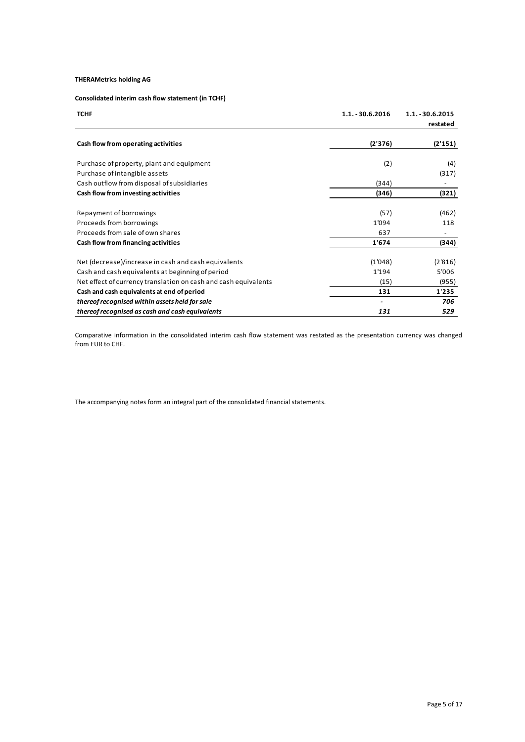**Consolidated interim cash flow statement (in TCHF)**

| <b>TCHF</b>                                                     | $1.1. - 30.6.2016$ | 1.1. - 30.6.2015<br>restated |
|-----------------------------------------------------------------|--------------------|------------------------------|
| Cash flow from operating activities                             | (2'376)            | (2'151)                      |
| Purchase of property, plant and equipment                       | (2)                | (4)                          |
| Purchase of intangible assets                                   |                    | (317)                        |
| Cash outflow from disposal of subsidiaries                      | (344)              |                              |
| Cash flow from investing activities                             | (346)              | (321)                        |
| Repayment of borrowings                                         | (57)               | (462)                        |
| Proceeds from borrowings                                        | 1'094              | 118                          |
| Proceeds from sale of own shares                                | 637                |                              |
| Cash flow from financing activities                             | 1'674              | (344)                        |
| Net (decrease)/increase in cash and cash equivalents            | (1'048)            | (2'816)                      |
| Cash and cash equivalents at beginning of period                | 1'194              | 5'006                        |
| Net effect of currency translation on cash and cash equivalents | (15)               | (955)                        |
| Cash and cash equivalents at end of period                      | 131                | 1'235                        |
| thereof recognised within assets held for sale                  |                    | 706                          |
| thereof recognised as cash and cash equivalents                 | 131                | 529                          |

Comparative information in the consolidated interim cash flow statement was restated as the presentation currency was changed from EUR to CHF.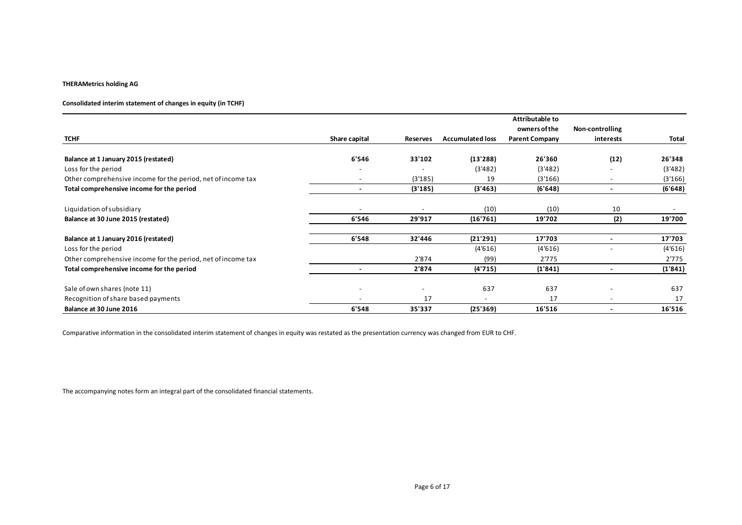# **Consolidated interim statement of changes in equity (in TCHF)**

| <b>TCHF</b>                                                  | Share capital            | Reserves | <b>Accumulated loss</b> | Attributable to<br>owners of the<br><b>Parent Company</b> | Non-controlling<br>interests | Total   |
|--------------------------------------------------------------|--------------------------|----------|-------------------------|-----------------------------------------------------------|------------------------------|---------|
|                                                              |                          |          |                         |                                                           |                              |         |
| Balance at 1 January 2015 (restated)                         | 6'546                    | 33'102   | (13'288)                | 26'360                                                    | (12)                         | 26'348  |
| Loss for the period                                          |                          |          | (3'482)                 | (3'482)                                                   |                              | (3'482) |
| Other comprehensive income for the period, net of income tax | $\overline{\phantom{a}}$ | (3'185)  | 19                      | (3'166)                                                   | $\overline{\phantom{a}}$     | (3'166) |
| Total comprehensive income for the period                    |                          | (3'185)  | (3'463)                 | (6'648)                                                   |                              | (6'648) |
| Liquidation of subsidiary                                    |                          |          | (10)                    | (10)                                                      | 10                           |         |
| Balance at 30 June 2015 (restated)                           | 6'546                    | 29'917   | (16'761)                | 19'702                                                    | (2)                          | 19'700  |
| Balance at 1 January 2016 (restated)                         | 6'548                    | 32'446   | (21'291)                | 17'703                                                    |                              | 17'703  |
| Loss for the period                                          |                          |          | (4'616)                 | (4'616)                                                   |                              | (4'616) |
| Other comprehensive income for the period, net of income tax |                          | 2'874    | (99)                    | 2'775                                                     |                              | 2'775   |
| Total comprehensive income for the period                    |                          | 2'874    | (4'715)                 | (1'841)                                                   |                              | (1'841) |
| Sale of own shares (note 11)                                 |                          |          | 637                     | 637                                                       |                              | 637     |
| Recognition of share based payments                          |                          | 17       |                         | 17                                                        |                              | 17      |
| Balance at 30 June 2016                                      | 6'548                    | 35'337   | (25'369)                | 16'516                                                    | $\blacksquare$               | 16'516  |

Comparative information in the consolidated interim statement of changes in equity was restated as the presentation currency was changed from EUR to CHF.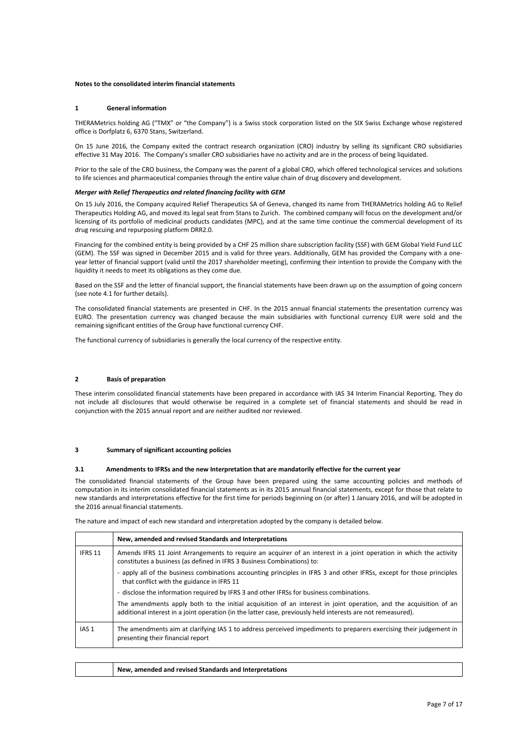#### **Notes to the consolidated interim financial statements**

#### **1 General information**

THERAMetrics holding AG ("TMX" or "the Company") is a Swiss stock corporation listed on the SIX Swiss Exchange whose registered office is Dorfplatz 6, 6370 Stans, Switzerland.

On 15 June 2016, the Company exited the contract research organization (CRO) industry by selling its significant CRO subsidiaries effective 31 May 2016. The Company's smaller CRO subsidiaries have no activity and are in the process of being liquidated.

Prior to the sale of the CRO business, the Company was the parent of a global CRO, which offered technological services and solutions to life sciences and pharmaceutical companies through the entire value chain of drug discovery and development.

#### *Merger with Relief Therapeutics and related financing facility with GEM*

On 15 July 2016, the Company acquired Relief Therapeutics SA of Geneva, changed its name from THERAMetrics holding AG to Relief Therapeutics Holding AG, and moved its legal seat from Stans to Zurich. The combined company will focus on the development and/or licensing of its portfolio of medicinal products candidates (MPC), and at the same time continue the commercial development of its drug rescuing and repurposing platform DRR2.0.

Financing for the combined entity is being provided by a CHF 25 million share subscription facility (SSF) with GEM Global Yield Fund LLC (GEM). The SSF was signed in December 2015 and is valid for three years. Additionally, GEM has provided the Company with a oneyear letter of financial support (valid until the 2017 shareholder meeting), confirming their intention to provide the Company with the liquidity it needs to meet its obligations as they come due.

Based on the SSF and the letter of financial support, the financial statements have been drawn up on the assumption of going concern (see note 4.1 for further details).

The consolidated financial statements are presented in CHF. In the 2015 annual financial statements the presentation currency was EURO. The presentation currency was changed because the main subsidiaries with functional currency EUR were sold and the remaining significant entities of the Group have functional currency CHF.

The functional currency of subsidiaries is generally the local currency of the respective entity.

#### **2 Basis of preparation**

These interim consolidated financial statements have been prepared in accordance with IAS 34 Interim Financial Reporting. They do not include all disclosures that would otherwise be required in a complete set of financial statements and should be read in conjunction with the 2015 annual report and are neither audited nor reviewed.

#### **3 Summary of significant accounting policies**

#### **3.1 Amendments to IFRSs and the new Interpretation that are mandatorily effective for the current year**

The consolidated financial statements of the Group have been prepared using the same accounting policies and methods of computation in its interim consolidated financial statements as in its 2015 annual financial statements, except for those that relate to new standards and interpretations effective for the first time for periods beginning on (or after) 1 January 2016, and will be adopted in the 2016 annual financial statements.

The nature and impact of each new standard and interpretation adopted by the company is detailed below.

|                  | New, amended and revised Standards and Interpretations                                                                                                                                                                            |
|------------------|-----------------------------------------------------------------------------------------------------------------------------------------------------------------------------------------------------------------------------------|
| IFRS 11          | Amends IFRS 11 Joint Arrangements to require an acquirer of an interest in a joint operation in which the activity<br>constitutes a business (as defined in IFRS 3 Business Combinations) to:                                     |
|                  | - apply all of the business combinations accounting principles in IFRS 3 and other IFRSs, except for those principles<br>that conflict with the guidance in IFRS 11                                                               |
|                  | - disclose the information required by IFRS 3 and other IFRSs for business combinations.                                                                                                                                          |
|                  | The amendments apply both to the initial acquisition of an interest in joint operation, and the acquisition of an<br>additional interest in a joint operation (in the latter case, previously held interests are not remeasured). |
| IAS <sub>1</sub> | The amendments aim at clarifying IAS 1 to address perceived impediments to preparers exercising their judgement in<br>presenting their financial report                                                                           |

| New, amended and revised Standards and Interpretations |
|--------------------------------------------------------|
|--------------------------------------------------------|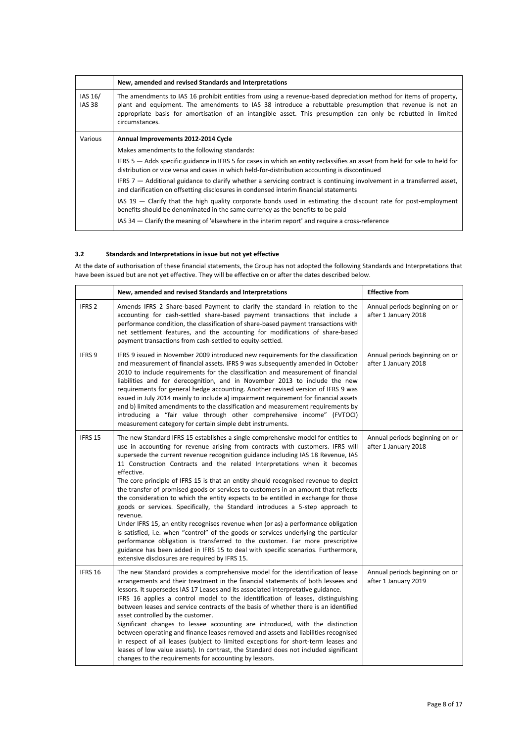|                          | New, amended and revised Standards and Interpretations                                                                                                                                                                                                                                                                                                       |
|--------------------------|--------------------------------------------------------------------------------------------------------------------------------------------------------------------------------------------------------------------------------------------------------------------------------------------------------------------------------------------------------------|
| IAS 16/<br><b>IAS 38</b> | The amendments to IAS 16 prohibit entities from using a revenue-based depreciation method for items of property,<br>plant and equipment. The amendments to IAS 38 introduce a rebuttable presumption that revenue is not an<br>appropriate basis for amortisation of an intangible asset. This presumption can only be rebutted in limited<br>circumstances. |
| Various                  | Annual Improvements 2012-2014 Cycle                                                                                                                                                                                                                                                                                                                          |
|                          | Makes amendments to the following standards:                                                                                                                                                                                                                                                                                                                 |
|                          | IFRS 5 – Adds specific guidance in IFRS 5 for cases in which an entity reclassifies an asset from held for sale to held for<br>distribution or vice versa and cases in which held-for-distribution accounting is discontinued                                                                                                                                |
|                          | IFRS $7$ $-$ Additional guidance to clarify whether a servicing contract is continuing involvement in a transferred asset,<br>and clarification on offsetting disclosures in condensed interim financial statements                                                                                                                                          |
|                          | IAS $19$ - Clarify that the high quality corporate bonds used in estimating the discount rate for post-employment<br>benefits should be denominated in the same currency as the benefits to be paid                                                                                                                                                          |
|                          | IAS 34 – Clarify the meaning of 'elsewhere in the interim report' and require a cross-reference                                                                                                                                                                                                                                                              |

# **3.2 Standards and Interpretations in issue but not yet effective**

At the date of authorisation of these financial statements, the Group has not adopted the following Standards and Interpretations that have been issued but are not yet effective. They will be effective on or after the dates described below.

|                   | New, amended and revised Standards and Interpretations                                                                                                                                                                                                                                                                                                                                                                                                                                                                                                                                                                                                                                                                                                                                                                                                                                                                                                                                                                                                                                                                | <b>Effective from</b>                                  |
|-------------------|-----------------------------------------------------------------------------------------------------------------------------------------------------------------------------------------------------------------------------------------------------------------------------------------------------------------------------------------------------------------------------------------------------------------------------------------------------------------------------------------------------------------------------------------------------------------------------------------------------------------------------------------------------------------------------------------------------------------------------------------------------------------------------------------------------------------------------------------------------------------------------------------------------------------------------------------------------------------------------------------------------------------------------------------------------------------------------------------------------------------------|--------------------------------------------------------|
| IFRS <sub>2</sub> | Amends IFRS 2 Share-based Payment to clarify the standard in relation to the<br>accounting for cash-settled share-based payment transactions that include a<br>performance condition, the classification of share-based payment transactions with<br>net settlement features, and the accounting for modifications of share-based<br>payment transactions from cash-settled to equity-settled.                                                                                                                                                                                                                                                                                                                                                                                                                                                                                                                                                                                                                                                                                                                        | Annual periods beginning on or<br>after 1 January 2018 |
| IFRS <sub>9</sub> | IFRS 9 issued in November 2009 introduced new requirements for the classification<br>and measurement of financial assets. IFRS 9 was subsequently amended in October<br>2010 to include requirements for the classification and measurement of financial<br>liabilities and for derecognition, and in November 2013 to include the new<br>requirements for general hedge accounting. Another revised version of IFRS 9 was<br>issued in July 2014 mainly to include a) impairment requirement for financial assets<br>and b) limited amendments to the classification and measurement requirements by<br>introducing a "fair value through other comprehensive income" (FVTOCI)<br>measurement category for certain simple debt instruments.                                                                                                                                                                                                                                                                                                                                                                          | Annual periods beginning on or<br>after 1 January 2018 |
| IFRS 15           | The new Standard IFRS 15 establishes a single comprehensive model for entities to<br>use in accounting for revenue arising from contracts with customers. IFRS will<br>supersede the current revenue recognition guidance including IAS 18 Revenue, IAS<br>11 Construction Contracts and the related Interpretations when it becomes<br>effective.<br>The core principle of IFRS 15 is that an entity should recognised revenue to depict<br>the transfer of promised goods or services to customers in an amount that reflects<br>the consideration to which the entity expects to be entitled in exchange for those<br>goods or services. Specifically, the Standard introduces a 5-step approach to<br>revenue.<br>Under IFRS 15, an entity recognises revenue when (or as) a performance obligation<br>is satisfied, i.e. when "control" of the goods or services underlying the particular<br>performance obligation is transferred to the customer. Far more prescriptive<br>guidance has been added in IFRS 15 to deal with specific scenarios. Furthermore,<br>extensive disclosures are required by IFRS 15. | Annual periods beginning on or<br>after 1 January 2018 |
| IFRS 16           | The new Standard provides a comprehensive model for the identification of lease<br>arrangements and their treatment in the financial statements of both lessees and<br>lessors. It supersedes IAS 17 Leases and its associated interpretative guidance.<br>IFRS 16 applies a control model to the identification of leases, distinguishing<br>between leases and service contracts of the basis of whether there is an identified<br>asset controlled by the customer.<br>Significant changes to lessee accounting are introduced, with the distinction<br>between operating and finance leases removed and assets and liabilities recognised<br>in respect of all leases (subject to limited exceptions for short-term leases and<br>leases of low value assets). In contrast, the Standard does not included significant<br>changes to the requirements for accounting by lessors.                                                                                                                                                                                                                                  | Annual periods beginning on or<br>after 1 January 2019 |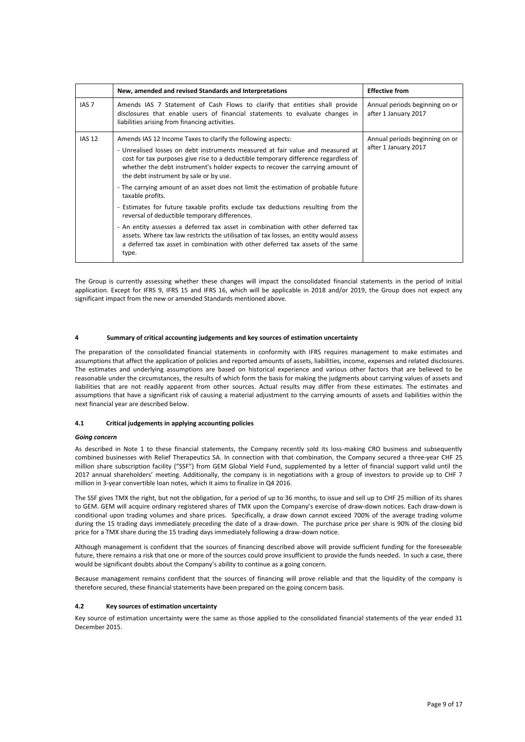|                  | New, amended and revised Standards and Interpretations                                                                                                                                                                                                                                                                                                                                                                                                                                                                                                                                                                                                                                                                                                                                                                                                                                  | <b>Effective from</b>                                  |
|------------------|-----------------------------------------------------------------------------------------------------------------------------------------------------------------------------------------------------------------------------------------------------------------------------------------------------------------------------------------------------------------------------------------------------------------------------------------------------------------------------------------------------------------------------------------------------------------------------------------------------------------------------------------------------------------------------------------------------------------------------------------------------------------------------------------------------------------------------------------------------------------------------------------|--------------------------------------------------------|
| IAS <sub>7</sub> | Amends IAS 7 Statement of Cash Flows to clarify that entities shall provide<br>disclosures that enable users of financial statements to evaluate changes in<br>liabilities arising from financing activities.                                                                                                                                                                                                                                                                                                                                                                                                                                                                                                                                                                                                                                                                           | Annual periods beginning on or<br>after 1 January 2017 |
| <b>IAS 12</b>    | Amends IAS 12 Income Taxes to clarify the following aspects:<br>- Unrealised losses on debt instruments measured at fair value and measured at<br>cost for tax purposes give rise to a deductible temporary difference regardless of<br>whether the debt instrument's holder expects to recover the carrying amount of<br>the debt instrument by sale or by use.<br>- The carrying amount of an asset does not limit the estimation of probable future<br>taxable profits.<br>- Estimates for future taxable profits exclude tax deductions resulting from the<br>reversal of deductible temporary differences.<br>- An entity assesses a deferred tax asset in combination with other deferred tax<br>assets. Where tax law restricts the utilisation of tax losses, an entity would assess<br>a deferred tax asset in combination with other deferred tax assets of the same<br>type. | Annual periods beginning on or<br>after 1 January 2017 |

The Group is currently assessing whether these changes will impact the consolidated financial statements in the period of initial application. Except for IFRS 9, IFRS 15 and IFRS 16, which will be applicable in 2018 and/or 2019, the Group does not expect any significant impact from the new or amended Standards mentioned above.

#### **4 Summary of critical accounting judgements and key sources of estimation uncertainty**

The preparation of the consolidated financial statements in conformity with IFRS requires management to make estimates and assumptions that affect the application of policies and reported amounts of assets, liabilities, income, expenses and related disclosures. The estimates and underlying assumptions are based on historical experience and various other factors that are believed to be reasonable under the circumstances, the results of which form the basis for making the judgments about carrying values of assets and liabilities that are not readily apparent from other sources. Actual results may differ from these estimates. The estimates and assumptions that have a significant risk of causing a material adjustment to the carrying amounts of assets and liabilities within the next financial year are described below.

#### **4.1 Critical judgements in applying accounting policies**

#### *Going concern*

As described in Note 1 to these financial statements, the Company recently sold its loss-making CRO business and subsequently combined businesses with Relief Therapeutics SA. In connection with that combination, the Company secured a three-year CHF 25 million share subscription facility ("SSF") from GEM Global Yield Fund, supplemented by a letter of financial support valid until the 2017 annual shareholders' meeting. Additionally, the company is in negotiations with a group of investors to provide up to CHF 7 million in 3-year convertible loan notes, which it aims to finalize in Q4 2016.

The SSF gives TMX the right, but not the obligation, for a period of up to 36 months, to issue and sell up to CHF 25 million of its shares to GEM. GEM will acquire ordinary registered shares of TMX upon the Company's exercise of draw-down notices. Each draw-down is conditional upon trading volumes and share prices. Specifically, a draw down cannot exceed 700% of the average trading volume during the 15 trading days immediately preceding the date of a draw-down. The purchase price per share is 90% of the closing bid price for a TMX share during the 15 trading days immediately following a draw-down notice.

Although management is confident that the sources of financing described above will provide sufficient funding for the foreseeable future, there remains a risk that one or more of the sources could prove insufficient to provide the funds needed. In such a case, there would be significant doubts about the Company's ability to continue as a going concern.

Because management remains confident that the sources of financing will prove reliable and that the liquidity of the company is therefore secured, these financial statements have been prepared on the going concern basis.

#### **4.2 Key sources of estimation uncertainty**

Key source of estimation uncertainty were the same as those applied to the consolidated financial statements of the year ended 31 December 2015.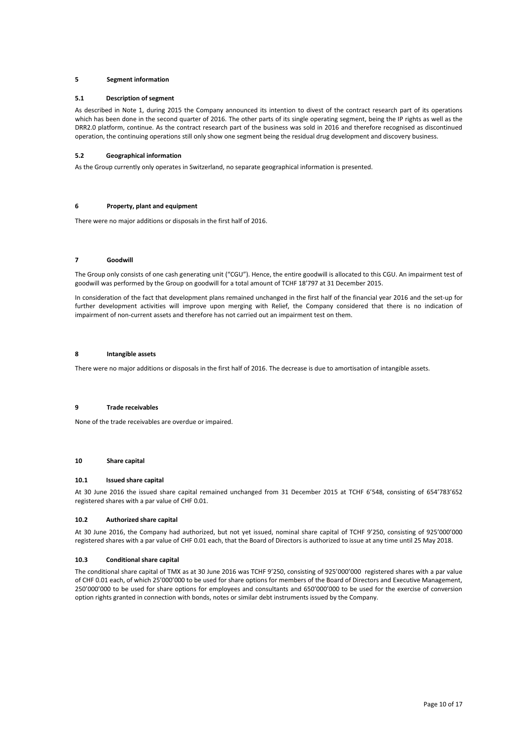#### **5 Segment information**

#### **5.1 Description of segment**

As described in Note 1, during 2015 the Company announced its intention to divest of the contract research part of its operations which has been done in the second quarter of 2016. The other parts of its single operating segment, being the IP rights as well as the DRR2.0 platform, continue. As the contract research part of the business was sold in 2016 and therefore recognised as discontinued operation, the continuing operations still only show one segment being the residual drug development and discovery business.

#### **5.2 Geographical information**

As the Group currently only operates in Switzerland, no separate geographical information is presented.

# **6 Property, plant and equipment**

There were no major additions or disposals in the first half of 2016.

#### **7 Goodwill**

The Group only consists of one cash generating unit ("CGU"). Hence, the entire goodwill is allocated to this CGU. An impairment test of goodwill was performed by the Group on goodwill for a total amount of TCHF 18'797 at 31 December 2015.

In consideration of the fact that development plans remained unchanged in the first half of the financial year 2016 and the set-up for further development activities will improve upon merging with Relief, the Company considered that there is no indication of impairment of non-current assets and therefore has not carried out an impairment test on them.

#### **8 Intangible assets**

There were no major additions or disposals in the first half of 2016. The decrease is due to amortisation of intangible assets.

#### **9 Trade receivables**

None of the trade receivables are overdue or impaired.

# **10 Share capital**

#### **10.1 Issued share capital**

At 30 June 2016 the issued share capital remained unchanged from 31 December 2015 at TCHF 6'548, consisting of 654'783'652 registered shares with a par value of CHF 0.01.

#### **10.2 Authorized share capital**

At 30 June 2016, the Company had authorized, but not yet issued, nominal share capital of TCHF 9'250, consisting of 925'000'000 registered shares with a par value of CHF 0.01 each, that the Board of Directors is authorized to issue at any time until 25 May 2018.

#### **10.3 Conditional share capital**

The conditional share capital of TMX as at 30 June 2016 was TCHF 9'250, consisting of 925'000'000 registered shares with a par value of CHF 0.01 each, of which 25'000'000 to be used for share options for members of the Board of Directors and Executive Management, 250'000'000 to be used for share options for employees and consultants and 650'000'000 to be used for the exercise of conversion option rights granted in connection with bonds, notes or similar debt instruments issued by the Company.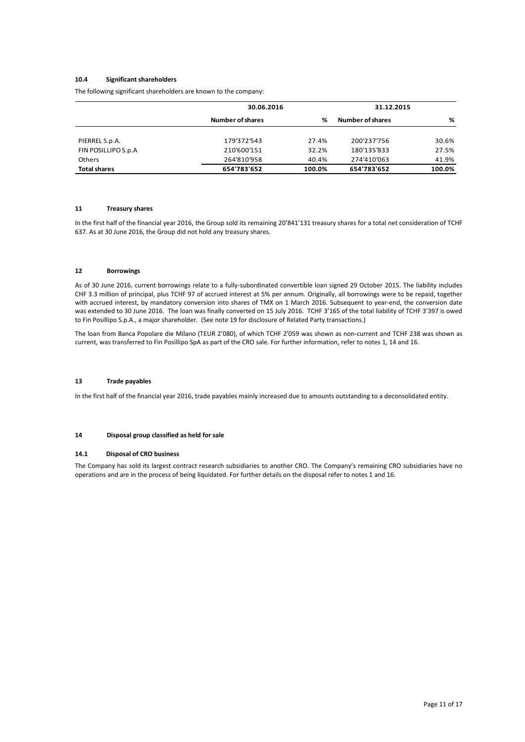#### **10.4 Significant shareholders**

The following significant shareholders are known to the company:

|                     | 30.06.2016       |        | 31.12.2015              |        |
|---------------------|------------------|--------|-------------------------|--------|
|                     | Number of shares | ℅      | <b>Number of shares</b> | %      |
|                     |                  |        |                         |        |
| PIERREL S.p.A.      | 179'372'543      | 27.4%  | 200'237'756             | 30.6%  |
| FIN POSILLIPO S.p.A | 210'600'151      | 32.2%  | 180'135'833             | 27.5%  |
| <b>Others</b>       | 264'810'958      | 40.4%  | 274'410'063             | 41.9%  |
| <b>Total shares</b> | 654'783'652      | 100.0% | 654'783'652             | 100.0% |

#### **11 Treasury shares**

In the first half of the financial year 2016, the Group sold its remaining 20'841'131 treasury shares for a total net consideration of TCHF 637. As at 30 June 2016, the Group did not hold any treasury shares.

#### **12 Borrowings**

As of 30 June 2016, current borrowings relate to a fully-subordinated convertible loan signed 29 October 2015. The liability includes CHF 3.3 million of principal, plus TCHF 97 of accrued interest at 5% per annum. Originally, all borrowings were to be repaid, together with accrued interest, by mandatory conversion into shares of TMX on 1 March 2016. Subsequent to year-end, the conversion date was extended to 30 June 2016. The loan was finally converted on 15 July 2016. TCHF 3'165 of the total liability of TCHF 3'397 is owed to Fin Posillipo S.p.A., a major shareholder. (See note 19 for disclosure of Related Party transactions.)

The loan from Banca Popolare die Milano (TEUR 2'080), of which TCHF 2'059 was shown as non-current and TCHF 238 was shown as current, was transferred to Fin Posillipo SpA as part of the CRO sale. For further information, refer to notes 1, 14 and 16.

#### **13 Trade payables**

In the first half of the financial year 2016, trade payables mainly increased due to amounts outstanding to a deconsolidated entity.

#### **14 Disposal group classified as held for sale**

#### **14.1 Disposal of CRO business**

The Company has sold its largest contract research subsidiaries to another CRO. The Company's remaining CRO subsidiaries have no operations and are in the process of being liquidated. For further details on the disposal refer to notes 1 and 16.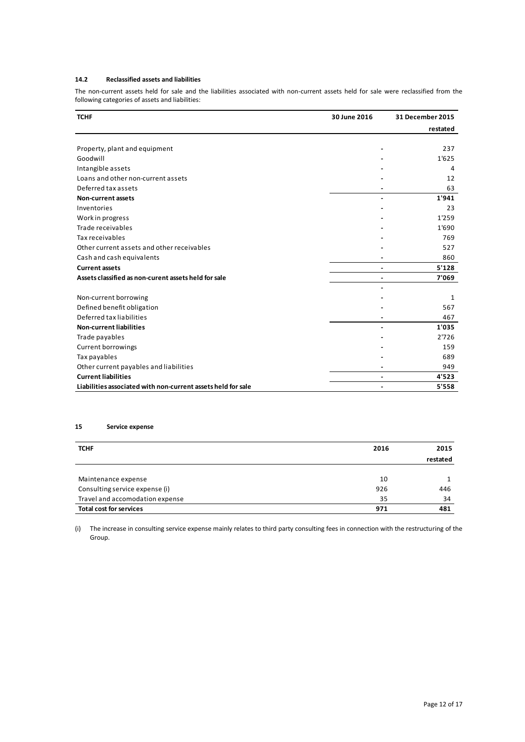# **14.2 Reclassified assets and liabilities**

The non-current assets held for sale and the liabilities associated with non-current assets held for sale were reclassified from the following categories of assets and liabilities:

| <b>TCHF</b>                                                  | 30 June 2016                 | 31 December 2015 |
|--------------------------------------------------------------|------------------------------|------------------|
|                                                              |                              | restated         |
|                                                              |                              |                  |
| Property, plant and equipment                                |                              | 237              |
| Goodwill                                                     |                              | 1'625            |
| Intangible assets                                            |                              | 4                |
| Loans and other non-current assets                           |                              | 12               |
| Deferred tax assets                                          |                              | 63               |
| <b>Non-current assets</b>                                    |                              | 1'941            |
| Inventories                                                  |                              | 23               |
| Work in progress                                             |                              | 1'259            |
| Trade receivables                                            |                              | 1'690            |
| Tax receivables                                              |                              | 769              |
| Other current assets and other receivables                   |                              | 527              |
| Cash and cash equivalents                                    |                              | 860              |
| <b>Current assets</b>                                        | $\qquad \qquad \blacksquare$ | 5'128            |
| Assets classified as non-curent assets held for sale         | -                            | 7'069            |
|                                                              |                              |                  |
| Non-current borrowing                                        |                              | 1                |
| Defined benefit obligation                                   |                              | 567              |
| Deferred tax liabilities                                     |                              | 467              |
| <b>Non-current liabilities</b>                               |                              | 1'035            |
| Trade payables                                               |                              | 2'726            |
| <b>Current borrowings</b>                                    |                              | 159              |
| Tax payables                                                 |                              | 689              |
| Other current payables and liabilities                       |                              | 949              |
| <b>Current liabilities</b>                                   |                              | 4'523            |
| Liabilities associated with non-current assets held for sale |                              | 5'558            |

# **15 Service expense**

| <b>TCHF</b>                     | 2016 | 2015     |
|---------------------------------|------|----------|
|                                 |      | restated |
|                                 |      |          |
| Maintenance expense             | 10   |          |
| Consulting service expense (i)  | 926  | 446      |
| Travel and accomodation expense | 35   | 34       |
| <b>Total cost for services</b>  | 971  | 481      |

(i) The increase in consulting service expense mainly relates to third party consulting fees in connection with the restructuring of the Group.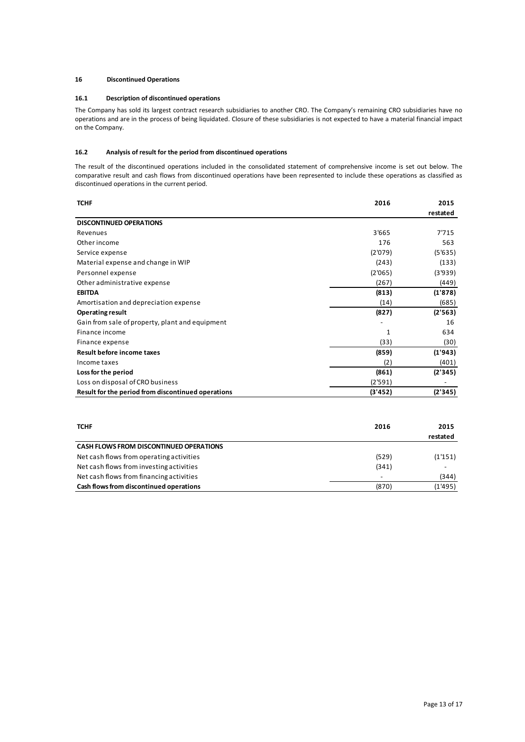#### **16 Discontinued Operations**

#### **16.1 Description of discontinued operations**

The Company has sold its largest contract research subsidiaries to another CRO. The Company's remaining CRO subsidiaries have no operations and are in the process of being liquidated. Closure of these subsidiaries is not expected to have a material financial impact on the Company.

# **16.2 Analysis of result for the period from discontinued operations**

The result of the discontinued operations included in the consolidated statement of comprehensive income is set out below. The comparative result and cash flows from discontinued operations have been represented to include these operations as classified as discontinued operations in the current period.

| <b>TCHF</b>                                        | 2016    | 2015     |
|----------------------------------------------------|---------|----------|
|                                                    |         | restated |
| <b>DISCONTINUED OPERATIONS</b>                     |         |          |
| Revenues                                           | 3'665   | 7'715    |
| Other income                                       | 176     | 563      |
| Service expense                                    | (2'079) | (5'635)  |
| Material expense and change in WIP                 | (243)   | (133)    |
| Personnel expense                                  | (2'065) | (3'939)  |
| Other administrative expense                       | (267)   | (449)    |
| <b>EBITDA</b>                                      | (813)   | (1'878)  |
| Amortisation and depreciation expense              | (14)    | (685)    |
| <b>Operating result</b>                            | (827)   | (2'563)  |
| Gain from sale of property, plant and equipment    |         | 16       |
| Finance income                                     | 1       | 634      |
| Finance expense                                    | (33)    | (30)     |
| Result before income taxes                         | (859)   | (1'943)  |
| Income taxes                                       | (2)     | (401)    |
| Loss for the period                                | (861)   | (2'345)  |
| Loss on disposal of CRO business                   | (2'591) |          |
| Result for the period from discontinued operations | (3'452) | (2'345)  |

| <b>TCHF</b>                                    | 2016  | 2015                     |
|------------------------------------------------|-------|--------------------------|
|                                                |       | restated                 |
| <b>CASH FLOWS FROM DISCONTINUED OPERATIONS</b> |       |                          |
| Net cash flows from operating activities       | (529) | (1'151)                  |
| Net cash flows from investing activities       | (341) | $\overline{\phantom{a}}$ |
| Net cash flows from financing activities       |       | (344)                    |
| Cash flows from discontinued operations        | (870) | (1'495)                  |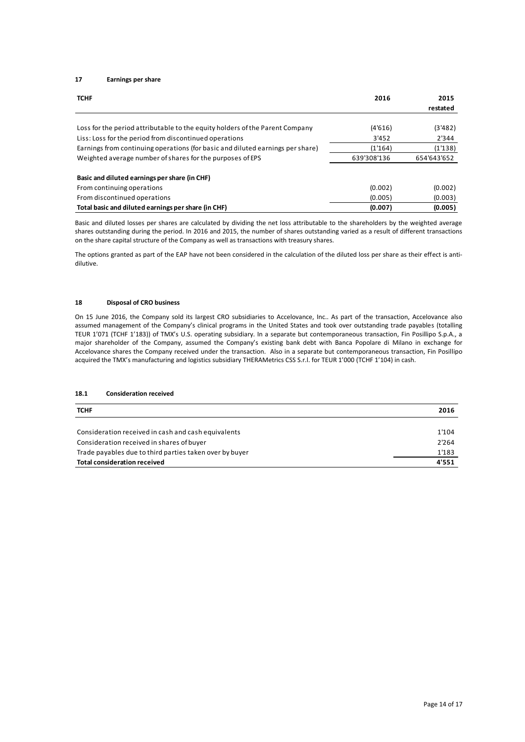# **17 Earnings per share**

| <b>TCHF</b>                                                                    | 2016        | 2015        |
|--------------------------------------------------------------------------------|-------------|-------------|
|                                                                                |             | restated    |
| Loss for the period attributable to the equity holders of the Parent Company   | (4'616)     | (3'482)     |
| Liss: Loss for the period from discontinued operations                         | 3'452       | 2'344       |
| Earnings from continuing operations (for basic and diluted earnings per share) | (1'164)     | (1'138)     |
| Weighted average number of shares for the purposes of EPS                      | 639'308'136 | 654'643'652 |
| Basic and diluted earnings per share (in CHF)                                  |             |             |
| From continuing operations                                                     | (0.002)     | (0.002)     |
| From discontinued operations                                                   | (0.005)     | (0.003)     |
| Total basic and diluted earnings per share (in CHF)                            | (0.007)     | (0.005)     |

Basic and diluted losses per shares are calculated by dividing the net loss attributable to the shareholders by the weighted average shares outstanding during the period. In 2016 and 2015, the number of shares outstanding varied as a result of different transactions on the share capital structure of the Company as well as transactions with treasury shares.

The options granted as part of the EAP have not been considered in the calculation of the diluted loss per share as their effect is antidilutive.

#### **18 Disposal of CRO business**

On 15 June 2016, the Company sold its largest CRO subsidiaries to Accelovance, Inc.. As part of the transaction, Accelovance also assumed management of the Company's clinical programs in the United States and took over outstanding trade payables (totalling TEUR 1'071 (TCHF 1'183)) of TMX's U.S. operating subsidiary. In a separate but contemporaneous transaction, Fin Posillipo S.p.A., a major shareholder of the Company, assumed the Company's existing bank debt with Banca Popolare di Milano in exchange for Accelovance shares the Company received under the transaction. Also in a separate but contemporaneous transaction, Fin Posillipo acquired the TMX's manufacturing and logistics subsidiary THERAMetrics CSS S.r.l. for TEUR 1'000 (TCHF 1'104) in cash.

# **18.1 Consideration received**

| <b>TCHF</b>                                             | 2016  |
|---------------------------------------------------------|-------|
|                                                         |       |
| Consideration received in cash and cash equivalents     | 1'104 |
| Consideration received in shares of buyer               | 2'264 |
| Trade payables due to third parties taken over by buyer | 1'183 |
| Total consideration received                            | 4'551 |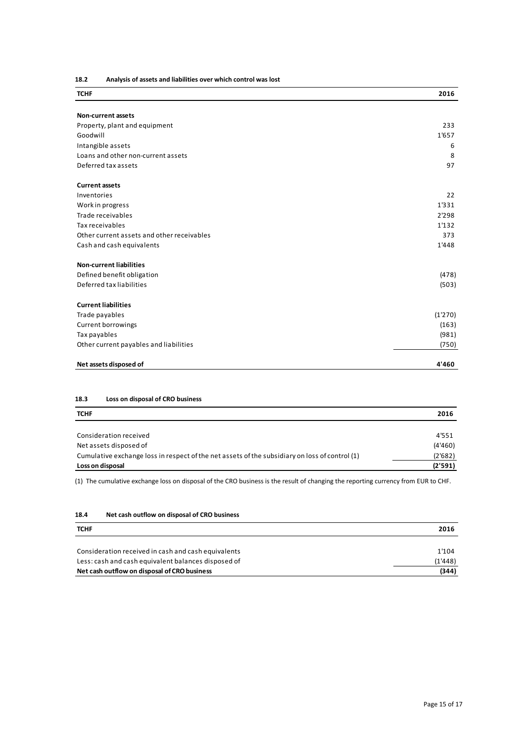**<sup>18.2</sup> Analysis of assets and liabilities over which control was lost**

| <b>TCHF</b>                                | 2016    |
|--------------------------------------------|---------|
| <b>Non-current assets</b>                  |         |
| Property, plant and equipment              | 233     |
| Goodwill                                   | 1'657   |
| Intangible assets                          | 6       |
| Loans and other non-current assets         | 8       |
| Deferred tax assets                        | 97      |
|                                            |         |
| <b>Current assets</b>                      |         |
| Inventories                                | 22      |
| Work in progress                           | 1'331   |
| Trade receivables                          | 2'298   |
| Tax receivables                            | 1'132   |
| Other current assets and other receivables | 373     |
| Cash and cash equivalents                  | 1'448   |
| <b>Non-current liabilities</b>             |         |
| Defined benefit obligation                 | (478)   |
| Deferred tax liabilities                   | (503)   |
| <b>Current liabilities</b>                 |         |
| Trade payables                             | (1'270) |
| <b>Current borrowings</b>                  | (163)   |
| Tax payables                               | (981)   |
| Other current payables and liabilities     | (750)   |
|                                            |         |
| Net assets disposed of                     | 4'460   |

# **18.3 Loss on disposal of CRO business**

| <b>TCHF</b>                                                                                    | 2016    |
|------------------------------------------------------------------------------------------------|---------|
|                                                                                                |         |
| Consideration received                                                                         | 4'551   |
| Net assets disposed of                                                                         | (4'460) |
| Cumulative exchange loss in respect of the net assets of the subsidiary on loss of control (1) | (2'682) |
| Loss on disposal                                                                               | (2'591) |

(1) The cumulative exchange loss on disposal of the CRO business is the result of changing the reporting currency from EUR to CHF.

# **18.4 Net cash outflow on disposal of CRO business**

| <b>TCHF</b>                                         | 2016    |
|-----------------------------------------------------|---------|
|                                                     |         |
| Consideration received in cash and cash equivalents | 1'104   |
| Less: cash and cash equivalent balances disposed of | (1'448) |
| Net cash outflow on disposal of CRO business        | (344)   |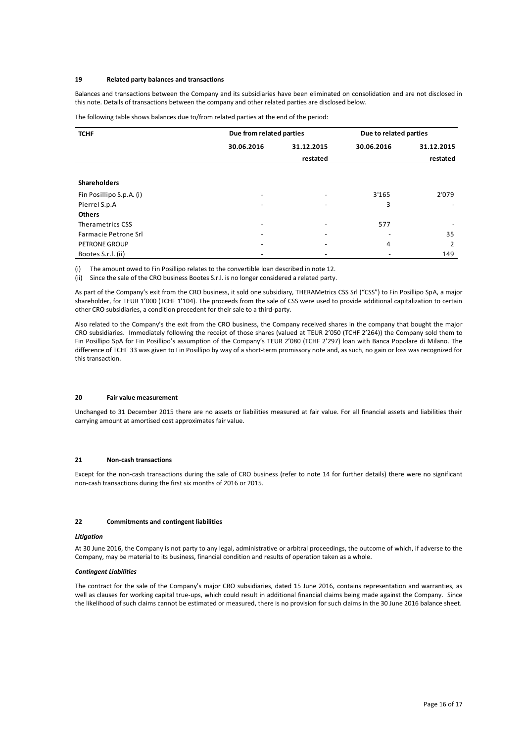#### **19 Related party balances and transactions**

Balances and transactions between the Company and its subsidiaries have been eliminated on consolidation and are not disclosed in this note. Details of transactions between the company and other related parties are disclosed below.

| The following table shows balances due to/from related parties at the end of the period: |  |  |
|------------------------------------------------------------------------------------------|--|--|
|------------------------------------------------------------------------------------------|--|--|

| <b>TCHF</b>                 | Due from related parties |            | Due to related parties |            |
|-----------------------------|--------------------------|------------|------------------------|------------|
|                             | 30.06.2016               | 31.12.2015 | 30.06.2016             | 31.12.2015 |
|                             |                          | restated   |                        | restated   |
|                             |                          |            |                        |            |
| <b>Shareholders</b>         |                          |            |                        |            |
| Fin Posillipo S.p.A. (i)    | $\overline{\phantom{a}}$ |            | 3'165                  | 2'079      |
| Pierrel S.p.A               | $\overline{\phantom{a}}$ |            | 3                      |            |
| <b>Others</b>               |                          |            |                        |            |
| Therametrics CSS            | $\overline{\phantom{a}}$ |            | 577                    |            |
| <b>Farmacie Petrone Srl</b> | $\overline{\phantom{a}}$ |            |                        | 35         |
| <b>PETRONE GROUP</b>        | $\overline{\phantom{a}}$ |            | 4                      | 2          |
| Bootes S.r.l. (ii)          |                          |            |                        | 149        |

(i) The amount owed to Fin Posillipo relates to the convertible loan described in note 12.

(ii) Since the sale of the CRO business Bootes S.r.l. is no longer considered a related party.

As part of the Company's exit from the CRO business, it sold one subsidiary, THERAMetrics CSS Srl ("CSS") to Fin Posillipo SpA, a major shareholder, for TEUR 1'000 (TCHF 1'104). The proceeds from the sale of CSS were used to provide additional capitalization to certain other CRO subsidiaries, a condition precedent for their sale to a third-party.

Also related to the Company's the exit from the CRO business, the Company received shares in the company that bought the major CRO subsidiaries. Immediately following the receipt of those shares (valued at TEUR 2'050 (TCHF 2'264)) the Company sold them to Fin Posillipo SpA for Fin Posillipo's assumption of the Company's TEUR 2'080 (TCHF 2'297) loan with Banca Popolare di Milano. The difference of TCHF 33 was given to Fin Posillipo by way of a short-term promissory note and, as such, no gain or loss was recognized for this transaction.

#### **20 Fair value measurement**

Unchanged to 31 December 2015 there are no assets or liabilities measured at fair value. For all financial assets and liabilities their carrying amount at amortised cost approximates fair value.

#### **21 Non-cash transactions**

Except for the non-cash transactions during the sale of CRO business (refer to note 14 for further details) there were no significant non-cash transactions during the first six months of 2016 or 2015.

#### **22 Commitments and contingent liabilities**

#### *Litigation*

At 30 June 2016, the Company is not party to any legal, administrative or arbitral proceedings, the outcome of which, if adverse to the Company, may be material to its business, financial condition and results of operation taken as a whole.

#### *Contingent Liabilities*

The contract for the sale of the Company's major CRO subsidiaries, dated 15 June 2016, contains representation and warranties, as well as clauses for working capital true-ups, which could result in additional financial claims being made against the Company. Since the likelihood of such claims cannot be estimated or measured, there is no provision for such claims in the 30 June 2016 balance sheet.